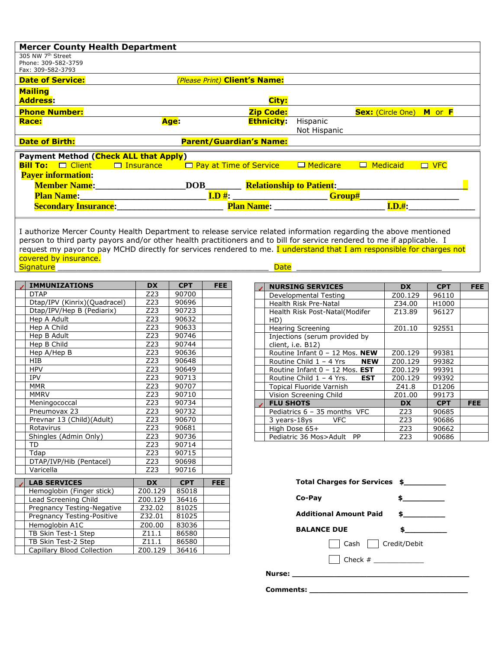| <b>Mercer County Health Department</b>                                       |      |                                |                   |                                 |                          |            |
|------------------------------------------------------------------------------|------|--------------------------------|-------------------|---------------------------------|--------------------------|------------|
| 305 NW 7 <sup>th</sup> Street                                                |      |                                |                   |                                 |                          |            |
| Phone: 309-582-3759                                                          |      |                                |                   |                                 |                          |            |
| Fax: 309-582-3793                                                            |      |                                |                   |                                 |                          |            |
| <b>Date of Service:</b>                                                      |      | (Please Print) Client's Name:  |                   |                                 |                          |            |
| <b>Mailing</b>                                                               |      |                                |                   |                                 |                          |            |
| <b>Address:</b>                                                              |      |                                | City:             |                                 |                          |            |
| <b>Phone Number:</b>                                                         |      |                                | <b>Zip Code:</b>  |                                 | <b>Sex:</b> (Circle One) | M or F     |
| <b>Race:</b>                                                                 | Age: |                                | <b>Ethnicity:</b> | Hispanic                        |                          |            |
|                                                                              |      |                                |                   | Not Hispanic                    |                          |            |
| <b>Date of Birth:</b>                                                        |      | <b>Parent/Guardian's Name:</b> |                   |                                 |                          |            |
| <b>Payment Method (Check ALL that Apply)</b>                                 |      |                                |                   |                                 |                          |            |
| <b>Bill To:</b> $\Box$ Client $\Box$ Insurance $\Box$ Pay at Time of Service |      |                                |                   | □ Medicare                      | $\square$ Medicaid       | $\Box$ VFC |
|                                                                              |      |                                |                   |                                 |                          |            |
| <b>Payer information:</b>                                                    |      |                                |                   |                                 |                          |            |
| <b>Member Name:</b>                                                          |      | DOB                            |                   | <b>Relationship to Patient:</b> |                          |            |
| <b>Plan Name:</b>                                                            |      | I.D H:                         |                   | Group#                          |                          |            |
| <b>Secondary Insurance:</b>                                                  |      |                                | <b>Plan Name:</b> |                                 | I.D.#:                   |            |
|                                                                              |      |                                |                   |                                 |                          |            |

I authorize Mercer County Health Department to release service related information regarding the above mentioned person to third party payors and/or other health practitioners and to bill for service rendered to me if applicable. I request my payor to pay MCHD directly for services rendered to me. I understand that I am responsible for charges not covered by insurance.<br>Signature  $\mathsf{Signature} \_\_\_\_\_\_\_\_\_$ 

| <b>IMMUNIZATIONS</b>         | <b>DX</b> | <b>CPT</b> | FEE.       |
|------------------------------|-----------|------------|------------|
| <b>DTAP</b>                  | Z23       | 90700      |            |
| Dtap/IPV (Kinrix)(Quadracel) | Z23       | 90696      |            |
| Dtap/IPV/Hep B (Pediarix)    | Z23       | 90723      |            |
| Hep A Adult                  | Z23       | 90632      |            |
| Hep A Child                  | Z23       | 90633      |            |
| Hep B Adult                  | Z23       | 90746      |            |
| Hep B Child                  | Z23       | 90744      |            |
| Hep A/Hep B                  | Z23       | 90636      |            |
| <b>HIB</b>                   | Z23       | 90648      |            |
| <b>HPV</b>                   | Z23       | 90649      |            |
| <b>IPV</b>                   | Z23       | 90713      |            |
| <b>MMR</b>                   | Z23       | 90707      |            |
| <b>MMRV</b>                  | Z23       | 90710      |            |
| Meningococcal                | Z23       | 90734      |            |
| Pneumovax 23                 | Z23       | 90732      |            |
| Prevnar 13 (Child)(Adult)    | Z23       | 90670      |            |
| Rotavirus                    | Z23       | 90681      |            |
| Shingles (Admin Only)        | Z23       | 90736      |            |
| TD                           | Z23       | 90714      |            |
| Tdap                         | Z23       | 90715      |            |
| DTAP/IVP/Hib (Pentacel)      | Z23       | 90698      |            |
| Varicella                    | Z23       | 90716      |            |
| <b>LAB SERVICES</b>          | <b>DX</b> | <b>CPT</b> | <b>FEE</b> |
|                              | Z00.129   | 85018      |            |
| Hemoglobin (Finger stick)    | Z00.129   | 36416      |            |
| Lead Screening Child         |           |            |            |

Pregnancy Testing-Negative | Z32.02 | 81025 Pregnancy Testing-Positive | Z32.01 | 81025 Hemoglobin A1C 200.00 83036<br>TB Skin Test-1 Step 211.1 86580 TB Skin Test-1 Step 211.1 86580<br>TB Skin Test-2 Step 211.1 86580 TB Skin Test-2 Step 211.1 86580<br>Capillary Blood Collection 200.129 36416

Capillary Blood Collection

| <b>NURSING SERVICES</b>                            | <b>DX</b> | <b>CPT</b> | <b>FEE</b> |
|----------------------------------------------------|-----------|------------|------------|
| Developmental Testing                              | Z00.129   | 96110      |            |
| Health Risk Pre-Natal                              | Z34.00    | H1000      |            |
| Health Risk Post-Natal(Modifer<br>HD)              | Z13.89    | 96127      |            |
| <b>Hearing Screening</b>                           | Z01.10    | 92551      |            |
| Injections (serum provided by<br>client, i.e. B12) |           |            |            |
| Routine Infant 0 - 12 Mos. NEW                     | Z00.129   | 99381      |            |
| Routine Child 1 - 4 Yrs<br><b>NEW</b>              | Z00.129   | 99382      |            |
| Routine Infant 0 - 12 Mos. EST                     | Z00.129   | 99391      |            |
| Routine Child $1 - 4$ Yrs.<br><b>EST</b>           | Z00.129   | 99392      |            |
| Topical Fluoride Varnish                           | Z41.8     | D1206      |            |
| Vision Screening Child                             | Z01.00    | 99173      |            |
| <b>FLU SHOTS</b>                                   | <b>DX</b> | <b>CPT</b> | FEE        |
| Pediatrics 6 - 35 months VFC                       | Z23       | 90685      |            |
| 3 years-18ys<br><b>VFC</b>                         | Z23       | 90686      |            |
| High Dose 65+                                      | Z23       | 90662      |            |
| Pediatric 36 Mos>Adult<br>PP                       | Z23       | 90686      |            |

| Total Charges for Services \$                                                                                                                                                                                                       |               |
|-------------------------------------------------------------------------------------------------------------------------------------------------------------------------------------------------------------------------------------|---------------|
| Co-Pay                                                                                                                                                                                                                              |               |
| <b>Additional Amount Paid</b>                                                                                                                                                                                                       | $\sim$ $\sim$ |
| <b>BALANCE DUE</b>                                                                                                                                                                                                                  | \$            |
| Cash   Credit/Debit                                                                                                                                                                                                                 |               |
|                                                                                                                                                                                                                                     |               |
| <b>Nurse:</b> And the second second second second second second second second second second second second second second second second second second second second second second second second second second second second second se |               |
|                                                                                                                                                                                                                                     |               |

**Comments: \_\_\_\_\_\_\_\_\_\_\_\_\_\_\_\_\_\_\_\_\_\_\_\_\_\_\_\_\_\_\_\_\_\_**